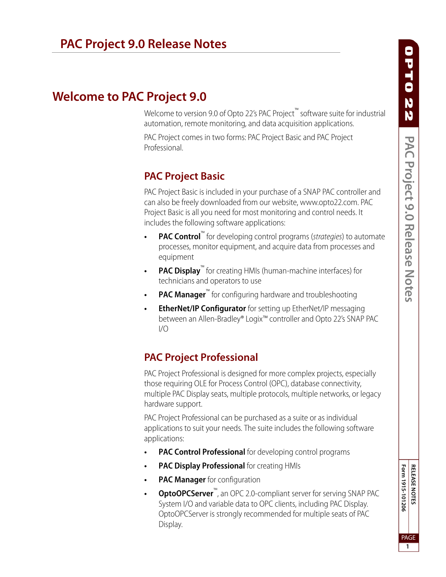# **Welcome to PAC Project 9.0**

Welcome to version 9.0 of Opto 22's PAC Project™ software suite for industrial automation, remote monitoring, and data acquisition applications.

PAC Project comes in two forms: PAC Project Basic and PAC Project Professional.

# **PAC Project Basic**

PAC Project Basic is included in your purchase of a SNAP PAC controller and can also be freely downloaded from our website, www.opto22.com. PAC Project Basic is all you need for most monitoring and control needs. It includes the following software applications:

- **PAC Control™** for developing control programs (*strategies*) to automate processes, monitor equipment, and acquire data from processes and equipment
- **PAC Display**<sup>™</sup> for creating HMIs (human-machine interfaces) for technicians and operators to use
- **PAC Manager<sup>™</sup>** for configuring hardware and troubleshooting
- **EtherNet/IP Configurator** for setting up EtherNet/IP messaging between an Allen-Bradley® Logix™ controller and Opto 22's SNAP PAC I/O

# **PAC Project Professional**

PAC Project Professional is designed for more complex projects, especially those requiring OLE for Process Control (OPC), database connectivity, multiple PAC Display seats, multiple protocols, multiple networks, or legacy hardware support.

PAC Project Professional can be purchased as a suite or as individual applications to suit your needs. The suite includes the following software applications:

- **PAC Control Professional** for developing control programs
- **PAC Display Professional** for creating HMIs
- **PAC Manager** for configuration
- **OptoOPCServer**™, an OPC 2.0-compliant server for serving SNAP PAC System I/O and variable data to OPC clients, including PAC Display. OptoOPCServer is strongly recommended for multiple seats of PAC Display.

Form 1915-101206 **RELEASE NOTES Form 1915-101206** PAGE

**1**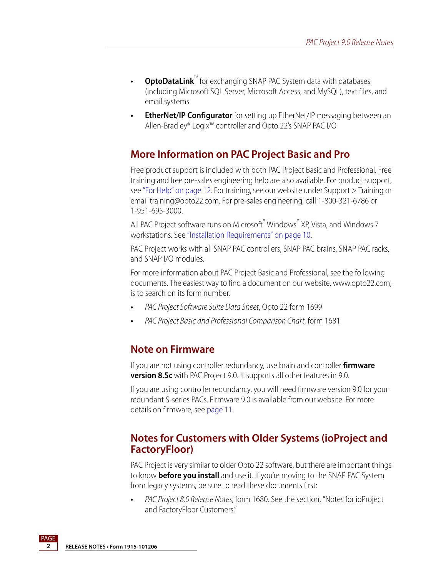- **OptoDataLink**<sup>™</sup> for exchanging SNAP PAC System data with databases (including Microsoft SQL Server, Microsoft Access, and MySQL), text files, and email systems
- **EtherNet/IP Configurator** for setting up EtherNet/IP messaging between an Allen-Bradley® Logix™ controller and Opto 22's SNAP PAC I/O

#### **More Information on PAC Project Basic and Pro**

Free product support is included with both PAC Project Basic and Professional. Free training and free pre-sales engineering help are also available. For product support, see ["For Help" on page 12.](#page-11-0) For training, see our website under Support > Training or email training@opto22.com. For pre-sales engineering, call 1-800-321-6786 or 1-951-695-3000.

All PAC Project software runs on Microsoft<sup>®</sup> Windows<sup>®</sup> XP, Vista, and Windows 7 workstations. See ["Installation Requirements" on page 10](#page-9-0).

PAC Project works with all SNAP PAC controllers, SNAP PAC brains, SNAP PAC racks, and SNAP I/O modules.

For more information about PAC Project Basic and Professional, see the following documents. The easiest way to find a document on our website, www.opto22.com, is to search on its form number.

- **•** PAC Project Software Suite Data Sheet, Opto 22 form 1699
- **•** PAC Project Basic and Professional Comparison Chart, form 1681

#### **Note on Firmware**

If you are not using controller redundancy, use brain and controller **firmware version 8.5c** with PAC Project 9.0. It supports all other features in 9.0.

If you are using controller redundancy, you will need firmware version 9.0 for your redundant S-series PACs. Firmware 9.0 is available from our website. For more details on firmware, see [page 11](#page-10-0).

#### **Notes for Customers with Older Systems (ioProject and FactoryFloor)**

PAC Project is very similar to older Opto 22 software, but there are important things to know **before you install** and use it. If you're moving to the SNAP PAC System from legacy systems, be sure to read these documents first:

**•** PAC Project 8.0 Release Notes, form 1680. See the section, "Notes for ioProject and FactoryFloor Customers."

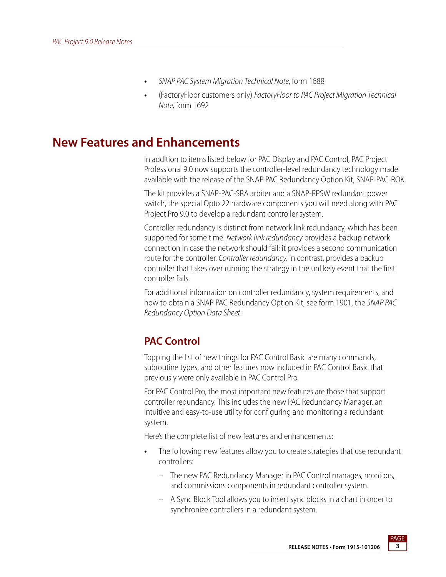- **•** SNAP PAC System Migration Technical Note, form 1688
- **•** (FactoryFloor customers only) FactoryFloor to PAC Project Migration Technical Note, form 1692

# **New Features and Enhancements**

In addition to items listed below for PAC Display and PAC Control, PAC Project Professional 9.0 now supports the controller-level redundancy technology made available with the release of the SNAP PAC Redundancy Option Kit, SNAP-PAC-ROK.

The kit provides a SNAP-PAC-SRA arbiter and a SNAP-RPSW redundant power switch, the special Opto 22 hardware components you will need along with PAC Project Pro 9.0 to develop a redundant controller system.

Controller redundancy is distinct from network link redundancy, which has been supported for some time. Network link redundancy provides a backup network connection in case the network should fail; it provides a second communication route for the controller. Controller redundancy, in contrast, provides a backup controller that takes over running the strategy in the unlikely event that the first controller fails.

For additional information on controller redundancy, system requirements, and how to obtain a SNAP PAC Redundancy Option Kit, see form 1901, the SNAP PAC Redundancy Option Data Sheet.

### **PAC Control**

Topping the list of new things for PAC Control Basic are many commands, subroutine types, and other features now included in PAC Control Basic that previously were only available in PAC Control Pro.

For PAC Control Pro, the most important new features are those that support controller redundancy. This includes the new PAC Redundancy Manager, an intuitive and easy-to-use utility for configuring and monitoring a redundant system.

Here's the complete list of new features and enhancements:

- **•** The following new features allow you to create strategies that use redundant controllers:
	- The new PAC Redundancy Manager in PAC Control manages, monitors, and commissions components in redundant controller system.
	- A Sync Block Tool allows you to insert sync blocks in a chart in order to synchronize controllers in a redundant system.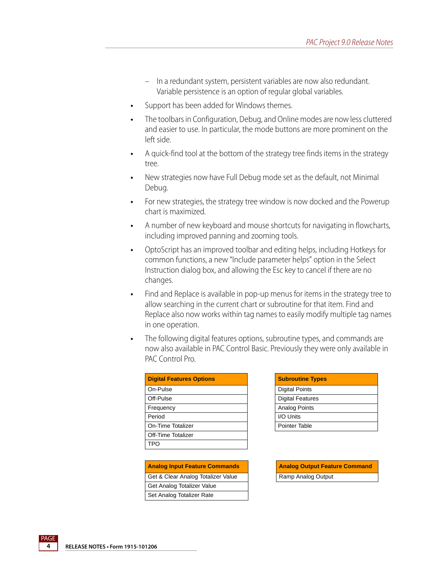- In a redundant system, persistent variables are now also redundant. Variable persistence is an option of regular global variables.
- **•** Support has been added for Windows themes.
- **•** The toolbars in Configuration, Debug, and Online modes are now less cluttered and easier to use. In particular, the mode buttons are more prominent on the left side.
- **•** A quick-find tool at the bottom of the strategy tree finds items in the strategy tree.
- **•** New strategies now have Full Debug mode set as the default, not Minimal Debug.
- **•** For new strategies, the strategy tree window is now docked and the Powerup chart is maximized.
- **•** A number of new keyboard and mouse shortcuts for navigating in flowcharts, including improved panning and zooming tools.
- **•** OptoScript has an improved toolbar and editing helps, including Hotkeys for common functions, a new "Include parameter helps" option in the Select Instruction dialog box, and allowing the Esc key to cancel if there are no changes.
- **•** Find and Replace is available in pop-up menus for items in the strategy tree to allow searching in the current chart or subroutine for that item. Find and Replace also now works within tag names to easily modify multiple tag names in one operation.
- **•** The following digital features options, subroutine types, and commands are now also available in PAC Control Basic. Previously they were only available in PAC Control Pro.

| <b>Digital Features Options</b> | <b>Subroutine Types</b> |
|---------------------------------|-------------------------|
| On-Pulse                        | <b>Digital Points</b>   |
| Off-Pulse                       | <b>Digital Features</b> |
| Frequency                       | <b>Analog Points</b>    |
| Period                          | I/O Units               |
| On-Time Totalizer               | Pointer Table           |
| Off-Time Totalizer              |                         |
| TPO                             |                         |

| <b>Analog Input Feature Commands</b> | <b>Analog Output Feature Command</b> |
|--------------------------------------|--------------------------------------|
| Get & Clear Analog Totalizer Value   | Ramp Analog Output                   |
| Get Analog Totalizer Value           |                                      |
| Set Analog Totalizer Rate            |                                      |

| <b>Subroutine Types</b> |
|-------------------------|
| <b>Digital Points</b>   |
| <b>Digital Features</b> |
| Analog Points           |
| I/O Units               |
| Pointer Table           |

| <b>Analog Output Feature Command</b> |
|--------------------------------------|
| Ramp Analog Output                   |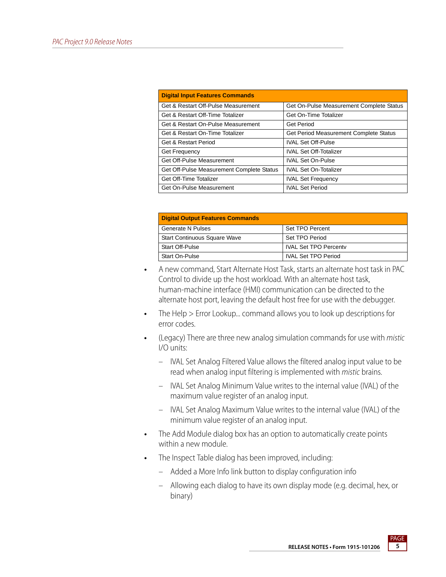| <b>Digital Input Features Commands</b>    |                                          |
|-------------------------------------------|------------------------------------------|
| Get & Restart Off-Pulse Measurement       | Get On-Pulse Measurement Complete Status |
| Get & Restart Off-Time Totalizer          | Get On-Time Totalizer                    |
| Get & Restart On-Pulse Measurement        | Get Period                               |
| Get & Restart On-Time Totalizer           | Get Period Measurement Complete Status   |
| Get & Restart Period                      | <b>IVAL Set Off-Pulse</b>                |
| <b>Get Frequency</b>                      | <b>IVAL Set Off-Totalizer</b>            |
| Get Off-Pulse Measurement                 | <b>IVAL Set On-Pulse</b>                 |
| Get Off-Pulse Measurement Complete Status | <b>IVAL Set On-Totalizer</b>             |
| Get Off-Time Totalizer                    | <b>IVAL Set Frequency</b>                |
| Get On-Pulse Measurement                  | <b>IVAL Set Period</b>                   |

| <b>Digital Output Features Commands</b> |                              |  |
|-----------------------------------------|------------------------------|--|
| <b>Generate N Pulses</b>                | Set TPO Percent              |  |
| <b>Start Continuous Square Wave</b>     | Set TPO Period               |  |
| <b>Start Off-Pulse</b>                  | <b>IVAL Set TPO Percenty</b> |  |
| Start On-Pulse                          | <b>IVAL Set TPO Period</b>   |  |

- **•** A new command, Start Alternate Host Task, starts an alternate host task in PAC Control to divide up the host workload. With an alternate host task, human-machine interface (HMI) communication can be directed to the alternate host port, leaving the default host free for use with the debugger.
- **•** The Help > Error Lookup... command allows you to look up descriptions for error codes.
- **•** (Legacy) There are three new analog simulation commands for use with mistic I/O units:
	- IVAL Set Analog Filtered Value allows the filtered analog input value to be read when analog input filtering is implemented with mistic brains.
	- IVAL Set Analog Minimum Value writes to the internal value (IVAL) of the maximum value register of an analog input.
	- IVAL Set Analog Maximum Value writes to the internal value (IVAL) of the minimum value register of an analog input.
- **•** The Add Module dialog box has an option to automatically create points within a new module.
- **•** The Inspect Table dialog has been improved, including:
	- Added a More Info link button to display configuration info
	- Allowing each dialog to have its own display mode (e.g. decimal, hex, or binary)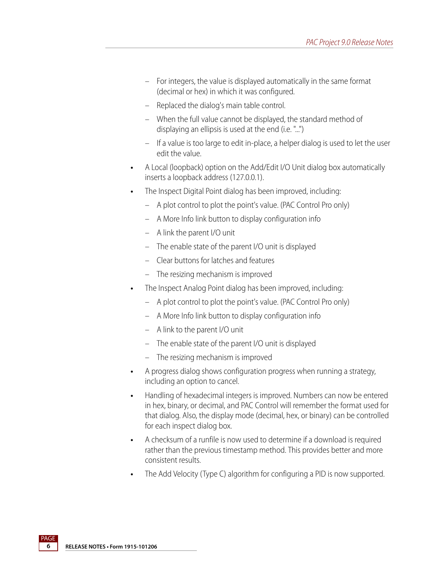- For integers, the value is displayed automatically in the same format (decimal or hex) in which it was configured.
- Replaced the dialog's main table control.
- When the full value cannot be displayed, the standard method of displaying an ellipsis is used at the end (i.e. "...")
- If a value is too large to edit in-place, a helper dialog is used to let the user edit the value.
- **•** A Local (loopback) option on the Add/Edit I/O Unit dialog box automatically inserts a loopback address (127.0.0.1).
- **•** The Inspect Digital Point dialog has been improved, including:
	- A plot control to plot the point's value. (PAC Control Pro only)
	- A More Info link button to display configuration info
	- A link the parent I/O unit
	- The enable state of the parent I/O unit is displayed
	- Clear buttons for latches and features
	- The resizing mechanism is improved
- **•** The Inspect Analog Point dialog has been improved, including:
	- A plot control to plot the point's value. (PAC Control Pro only)
	- A More Info link button to display configuration info
	- A link to the parent I/O unit
	- The enable state of the parent I/O unit is displayed
	- The resizing mechanism is improved
- **•** A progress dialog shows configuration progress when running a strategy, including an option to cancel.
- **•** Handling of hexadecimal integers is improved. Numbers can now be entered in hex, binary, or decimal, and PAC Control will remember the format used for that dialog. Also, the display mode (decimal, hex, or binary) can be controlled for each inspect dialog box.
- **•** A checksum of a runfile is now used to determine if a download is required rather than the previous timestamp method. This provides better and more consistent results.
- **•** The Add Velocity (Type C) algorithm for configuring a PID is now supported.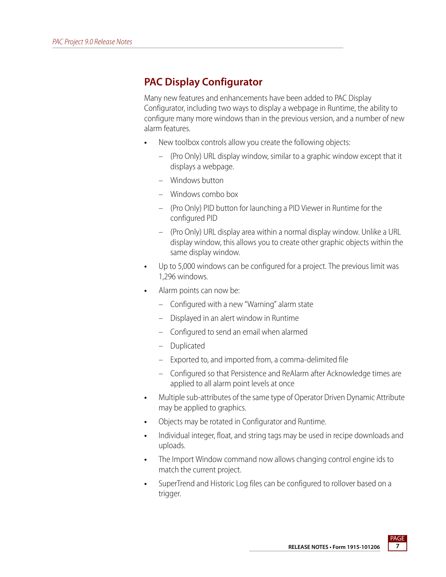# **PAC Display Configurator**

Many new features and enhancements have been added to PAC Display Configurator, including two ways to display a webpage in Runtime, the ability to configure many more windows than in the previous version, and a number of new alarm features.

- **•** New toolbox controls allow you create the following objects:
	- (Pro Only) URL display window, similar to a graphic window except that it displays a webpage.
	- Windows button
	- Windows combo box
	- (Pro Only) PID button for launching a PID Viewer in Runtime for the configured PID
	- (Pro Only) URL display area within a normal display window. Unlike a URL display window, this allows you to create other graphic objects within the same display window.
- **•** Up to 5,000 windows can be configured for a project. The previous limit was 1,296 windows.
- **•** Alarm points can now be:
	- Configured with a new "Warning" alarm state
	- Displayed in an alert window in Runtime
	- Configured to send an email when alarmed
	- Duplicated
	- Exported to, and imported from, a comma-delimited file
	- Configured so that Persistence and ReAlarm after Acknowledge times are applied to all alarm point levels at once
- **•** Multiple sub-attributes of the same type of Operator Driven Dynamic Attribute may be applied to graphics.
- **•** Objects may be rotated in Configurator and Runtime.
- **•** Individual integer, float, and string tags may be used in recipe downloads and uploads.
- **•** The Import Window command now allows changing control engine ids to match the current project.
- **•** SuperTrend and Historic Log files can be configured to rollover based on a trigger.

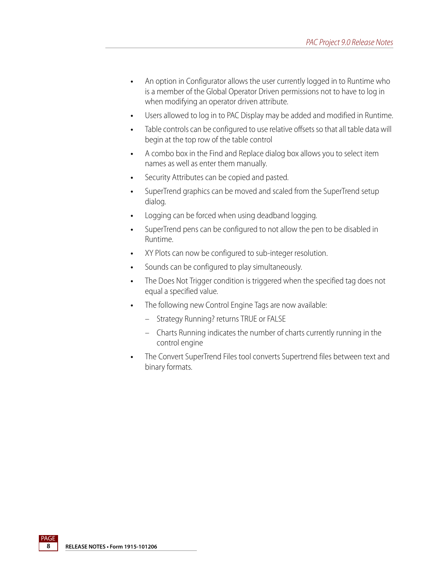- **•** An option in Configurator allows the user currently logged in to Runtime who is a member of the Global Operator Driven permissions not to have to log in when modifying an operator driven attribute.
- **•** Users allowed to log in to PAC Display may be added and modified in Runtime.
- **•** Table controls can be configured to use relative offsets so that all table data will begin at the top row of the table control
- **•** A combo box in the Find and Replace dialog box allows you to select item names as well as enter them manually.
- **•** Security Attributes can be copied and pasted.
- **•** SuperTrend graphics can be moved and scaled from the SuperTrend setup dialog.
- **•** Logging can be forced when using deadband logging.
- **•** SuperTrend pens can be configured to not allow the pen to be disabled in Runtime.
- **•** XY Plots can now be configured to sub-integer resolution.
- **•** Sounds can be configured to play simultaneously.
- **•** The Does Not Trigger condition is triggered when the specified tag does not equal a specified value.
- **•** The following new Control Engine Tags are now available:
	- Strategy Running? returns TRUE or FALSE
	- Charts Running indicates the number of charts currently running in the control engine
- **•** The Convert SuperTrend Files tool converts Supertrend files between text and binary formats.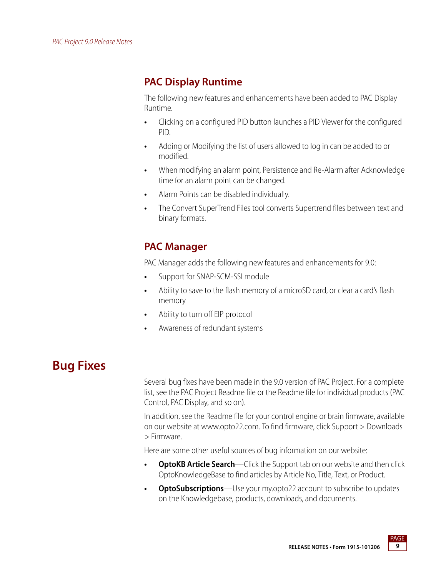# **PAC Display Runtime**

The following new features and enhancements have been added to PAC Display Runtime.

- **•** Clicking on a configured PID button launches a PID Viewer for the configured PID.
- **•** Adding or Modifying the list of users allowed to log in can be added to or modified.
- **•** When modifying an alarm point, Persistence and Re-Alarm after Acknowledge time for an alarm point can be changed.
- **•** Alarm Points can be disabled individually.
- **•** The Convert SuperTrend Files tool converts Supertrend files between text and binary formats.

# **PAC Manager**

PAC Manager adds the following new features and enhancements for 9.0:

- **•** Support for SNAP-SCM-SSI module
- **•** Ability to save to the flash memory of a microSD card, or clear a card's flash memory
- **•** Ability to turn off EIP protocol
- **•** Awareness of redundant systems

# **Bug Fixes**

Several bug fixes have been made in the 9.0 version of PAC Project. For a complete list, see the PAC Project Readme file or the Readme file for individual products (PAC Control, PAC Display, and so on).

In addition, see the Readme file for your control engine or brain firmware, available on our website at www.opto22.com. To find firmware, click Support > Downloads > Firmware.

Here are some other useful sources of bug information on our website:

- **OptoKB Article Search**—Click the Support tab on our website and then click OptoKnowledgeBase to find articles by Article No, Title, Text, or Product.
- **OptoSubscriptions**—Use your my.opto22 account to subscribe to updates on the Knowledgebase, products, downloads, and documents.

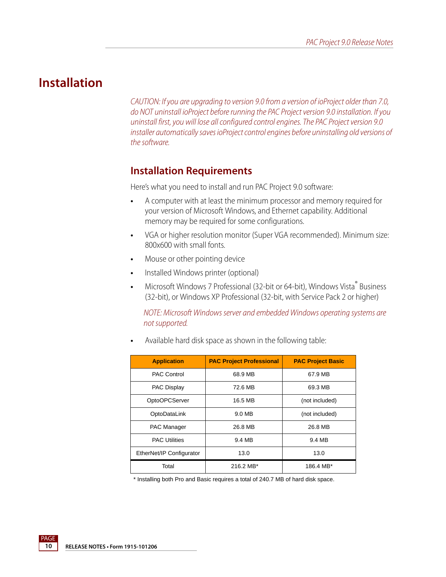# **Installation**

CAUTION: If you are upgrading to version 9.0 from a version of ioProject older than 7.0, do NOT uninstall ioProject before running the PAC Project version 9.0 installation. If you uninstall first, you will lose all configured control engines. The PAC Project version 9.0 installer automatically saves ioProject control engines before uninstalling old versions of the software.

#### <span id="page-9-0"></span>**Installation Requirements**

Here's what you need to install and run PAC Project 9.0 software:

- **•** A computer with at least the minimum processor and memory required for your version of Microsoft Windows, and Ethernet capability. Additional memory may be required for some configurations.
- **•** VGA or higher resolution monitor (Super VGA recommended). Minimum size: 800x600 with small fonts.
- **•** Mouse or other pointing device
- **•** Installed Windows printer (optional)
- Microsoft Windows 7 Professional (32-bit or 64-bit), Windows Vista<sup>®</sup> Business (32-bit), or Windows XP Professional (32-bit, with Service Pack 2 or higher)

NOTE: Microsoft Windows server and embedded Windows operating systems are not supported.

**•** Available hard disk space as shown in the following table:

| <b>Application</b>       | <b>PAC Project Professional</b> | <b>PAC Project Basic</b> |
|--------------------------|---------------------------------|--------------------------|
| <b>PAC Control</b>       | 68.9 MB                         | 67.9 MB                  |
| <b>PAC Display</b>       | 72.6 MB                         | 69.3 MB                  |
| OptoOPCServer            | 16.5 MB                         | (not included)           |
| OptoDataLink             | 9.0 MB                          | (not included)           |
| PAC Manager              | 26.8 MB                         | 26.8 MB                  |
| <b>PAC Utilities</b>     | 9.4 MB                          | 9.4 MB                   |
| EtherNet/IP Configurator | 13.0                            | 13.0                     |
| Total                    | 216.2 MB*                       | 186.4 MB*                |

\* Installing both Pro and Basic requires a total of 240.7 MB of hard disk space.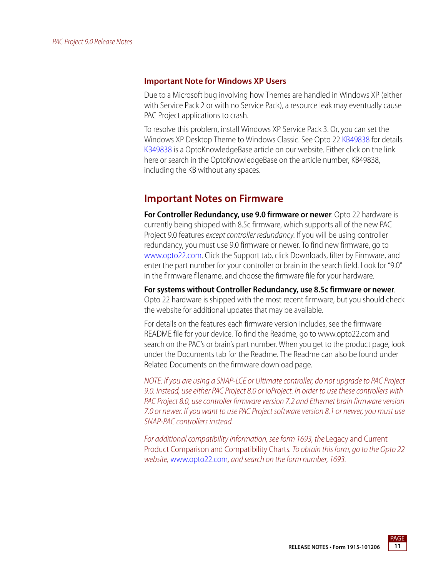#### **Important Note for Windows XP Users**

Due to a Microsoft bug involving how Themes are handled in Windows XP (either with Service Pack 2 or with no Service Pack), a resource leak may eventually cause PAC Project applications to crash.

To resolve this problem, install Windows XP Service Pack 3. Or, you can set the Windows XP Desktop Theme to Windows Classic. See Opto 2[2 KB49838](http://www.opto22.com/site/documents/viewarticle.aspx?aid=1107) for details. [KB49838](http://www.opto22.com/site/documents/viewarticle.aspx?aid=1107) is a OptoKnowledgeBase article on our website. Either click on the link here or search in the OptoKnowledgeBase on the article number, KB49838, including the KB without any spaces.

#### <span id="page-10-0"></span>**Important Notes on Firmware**

**For Controller Redundancy, use 9.0 firmware or newer**. Opto 22 hardware is currently being shipped with 8.5c firmware, which supports all of the new PAC Project 9.0 features except controller redundancy. If you will be using controller redundancy, you must use 9.0 firmware or newer. To find new firmware, go to [www.opto22.com.](http://www.opto22.com) Click the Support tab, click Downloads, filter by Firmware, and enter the part number for your controller or brain in the search field. Look for "9.0" in the firmware filename, and choose the firmware file for your hardware.

**For systems without Controller Redundancy, use 8.5c firmware or newer**. Opto 22 hardware is shipped with the most recent firmware, but you should check the website for additional updates that may be available.

For details on the features each firmware version includes, see the firmware README file for your device. To find the Readme, go to www.opto22.com and search on the PAC's or brain's part number. When you get to the product page, look under the Documents tab for the Readme. The Readme can also be found under Related Documents on the firmware download page.

NOTE: If you are using a SNAP-LCE or Ultimate controller, do not upgrade to PAC Project 9.0. Instead, use either PAC Project 8.0 or ioProject. In order to use these controllers with PAC Project 8.0, use controller firmware version 7.2 and Ethernet brain firmware version 7.0 or newer. If you want to use PAC Project software version 8.1 or newer, you must use SNAP-PAC controllers instead.

For additional compatibility information, see form 1693, the Legacy and Current Product Comparison and Compatibility Charts. To obtain this form, go to the Opto 22 website, [www.opto22.com](http://www.opto22.com), and search on the form number, 1693.